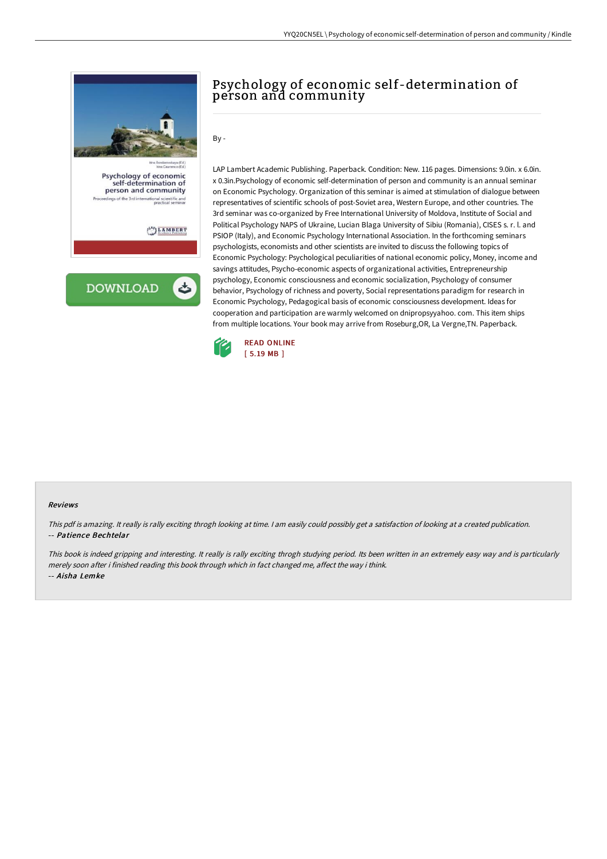

# Psychology of economic self-determination of person and community

By -

LAP Lambert Academic Publishing. Paperback. Condition: New. 116 pages. Dimensions: 9.0in. x 6.0in. x 0.3in.Psychology of economic self-determination of person and community is an annual seminar on Economic Psychology. Organization of this seminar is aimed at stimulation of dialogue between representatives of scientific schools of post-Soviet area, Western Europe, and other countries. The 3rd seminar was co-organized by Free International University of Moldova, Institute of Social and Political Psychology NAPS of Ukraine, Lucian Blaga University of Sibiu (Romania), CISES s. r. l. and PSIOP (Italy), and Economic Psychology International Association. In the forthcoming seminars psychologists, economists and other scientists are invited to discuss the following topics of Economic Psychology: Psychological peculiarities of national economic policy, Money, income and savings attitudes, Psycho-economic aspects of organizational activities, Entrepreneurship psychology, Economic consciousness and economic socialization, Psychology of consumer behavior, Psychology of richness and poverty, Social representations paradigm for research in Economic Psychology, Pedagogical basis of economic consciousness development. Ideas for cooperation and participation are warmly welcomed on dnipropsyyahoo. com. This item ships from multiple locations. Your book may arrive from Roseburg,OR, La Vergne,TN. Paperback.



#### Reviews

This pdf is amazing. It really is rally exciting throgh looking at time. <sup>I</sup> am easily could possibly get <sup>a</sup> satisfaction of looking at <sup>a</sup> created publication. -- Patience Bechtelar

This book is indeed gripping and interesting. It really is rally exciting throgh studying period. Its been written in an extremely easy way and is particularly merely soon after i finished reading this book through which in fact changed me, affect the way i think. -- Aisha Lemke